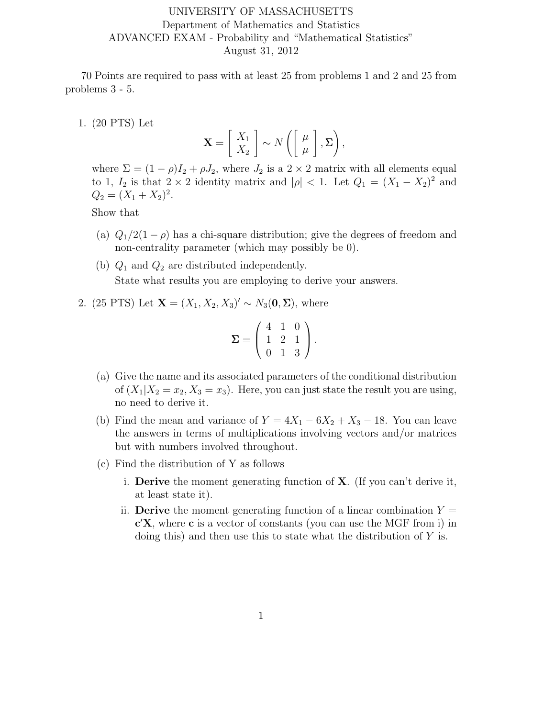## UNIVERSITY OF MASSACHUSETTS Department of Mathematics and Statistics ADVANCED EXAM - Probability and "Mathematical Statistics" August 31, 2012

70 Points are required to pass with at least 25 from problems 1 and 2 and 25 from problems 3 - 5.

1. (20 PTS) Let

$$
\mathbf{X} = \left[ \begin{array}{c} X_1 \\ X_2 \end{array} \right] \sim N \left( \left[ \begin{array}{c} \mu \\ \mu \end{array} \right], \Sigma \right),
$$

where  $\Sigma = (1 - \rho)I_2 + \rho J_2$ , where  $J_2$  is a  $2 \times 2$  matrix with all elements equal to 1,  $I_2$  is that  $2 \times 2$  identity matrix and  $|\rho| < 1$ . Let  $Q_1 = (X_1 - X_2)^2$  and  $Q_2 = (X_1 + X_2)^2$ .

Show that

- (a)  $Q_1/2(1-\rho)$  has a chi-square distribution; give the degrees of freedom and non-centrality parameter (which may possibly be 0).
- (b)  $Q_1$  and  $Q_2$  are distributed independently. State what results you are employing to derive your answers.

2. (25 PTS) Let  $\mathbf{X} = (X_1, X_2, X_3)' \sim N_3(\mathbf{0}, \Sigma)$ , where

$$
\Sigma = \left( \begin{array}{rrr} 4 & 1 & 0 \\ 1 & 2 & 1 \\ 0 & 1 & 3 \end{array} \right).
$$

- (a) Give the name and its associated parameters of the conditional distribution of  $(X_1|X_2 = x_2, X_3 = x_3)$ . Here, you can just state the result you are using, no need to derive it.
- (b) Find the mean and variance of  $Y = 4X_1 6X_2 + X_3 18$ . You can leave the answers in terms of multiplications involving vectors and/or matrices but with numbers involved throughout.
- (c) Find the distribution of Y as follows
	- i. **Derive** the moment generating function of  $X$ . (If you can't derive it, at least state it).
	- ii. **Derive** the moment generating function of a linear combination  $Y =$ c ′X, where c is a vector of constants (you can use the MGF from i) in doing this) and then use this to state what the distribution of  $Y$  is.